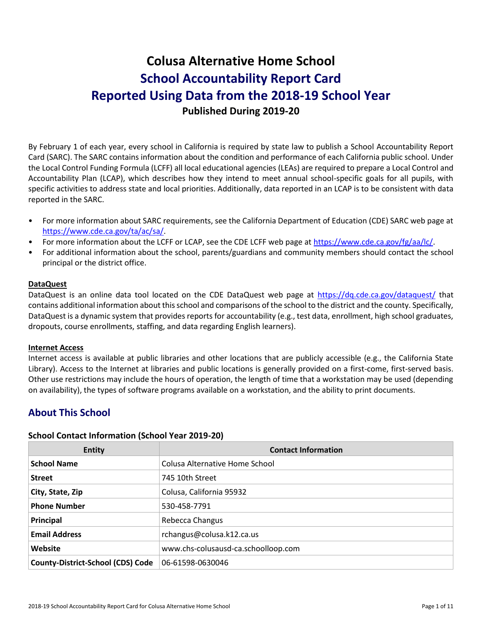# **Colusa Alternative Home School School Accountability Report Card Reported Using Data from the 2018-19 School Year Published During 2019-20**

By February 1 of each year, every school in California is required by state law to publish a School Accountability Report Card (SARC). The SARC contains information about the condition and performance of each California public school. Under the Local Control Funding Formula (LCFF) all local educational agencies (LEAs) are required to prepare a Local Control and Accountability Plan (LCAP), which describes how they intend to meet annual school-specific goals for all pupils, with specific activities to address state and local priorities. Additionally, data reported in an LCAP is to be consistent with data reported in the SARC.

- For more information about SARC requirements, see the California Department of Education (CDE) SARC web page at [https://www.cde.ca.gov/ta/ac/sa/.](https://www.cde.ca.gov/ta/ac/sa/)
- For more information about the LCFF or LCAP, see the CDE LCFF web page at [https://www.cde.ca.gov/fg/aa/lc/.](https://www.cde.ca.gov/fg/aa/lc/)
- For additional information about the school, parents/guardians and community members should contact the school principal or the district office.

#### **DataQuest**

DataQuest is an online data tool located on the CDE DataQuest web page at<https://dq.cde.ca.gov/dataquest/> that contains additional information about this school and comparisons of the school to the district and the county. Specifically, DataQuest is a dynamic system that provides reports for accountability (e.g., test data, enrollment, high school graduates, dropouts, course enrollments, staffing, and data regarding English learners).

#### **Internet Access**

Internet access is available at public libraries and other locations that are publicly accessible (e.g., the California State Library). Access to the Internet at libraries and public locations is generally provided on a first-come, first-served basis. Other use restrictions may include the hours of operation, the length of time that a workstation may be used (depending on availability), the types of software programs available on a workstation, and the ability to print documents.

# **About This School**

#### **School Contact Information (School Year 2019-20)**

| <b>Entity</b>                            | <b>Contact Information</b>          |
|------------------------------------------|-------------------------------------|
| <b>School Name</b>                       | Colusa Alternative Home School      |
| <b>Street</b>                            | 745 10th Street                     |
| City, State, Zip                         | Colusa, California 95932            |
| <b>Phone Number</b>                      | 530-458-7791                        |
| Principal                                | Rebecca Changus                     |
| <b>Email Address</b>                     | rchangus@colusa.k12.ca.us           |
| Website                                  | www.chs-colusausd-ca.schoolloop.com |
| <b>County-District-School (CDS) Code</b> | 06-61598-0630046                    |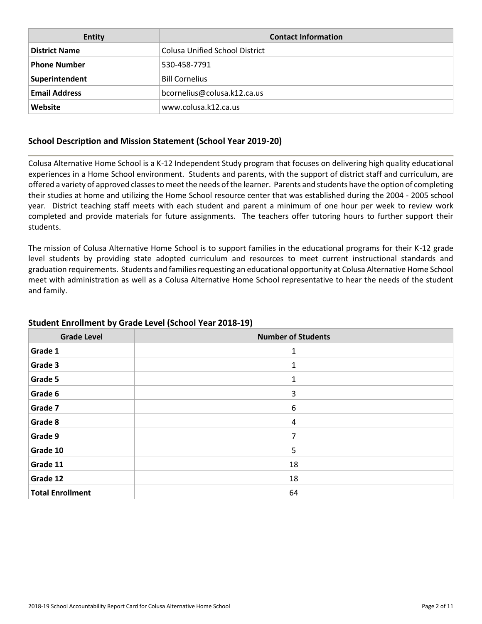| <b>Entity</b>        | <b>Contact Information</b>            |
|----------------------|---------------------------------------|
| <b>District Name</b> | <b>Colusa Unified School District</b> |
| <b>Phone Number</b>  | 530-458-7791                          |
| Superintendent       | <b>Bill Cornelius</b>                 |
| <b>Email Address</b> | bcornelius@colusa.k12.ca.us           |
| Website              | www.colusa.k12.ca.us                  |

### **School Description and Mission Statement (School Year 2019-20)**

Colusa Alternative Home School is a K-12 Independent Study program that focuses on delivering high quality educational experiences in a Home School environment. Students and parents, with the support of district staff and curriculum, are offered a variety of approved classes to meet the needs of the learner. Parents and students have the option of completing their studies at home and utilizing the Home School resource center that was established during the 2004 - 2005 school year. District teaching staff meets with each student and parent a minimum of one hour per week to review work completed and provide materials for future assignments. The teachers offer tutoring hours to further support their students.

The mission of Colusa Alternative Home School is to support families in the educational programs for their K-12 grade level students by providing state adopted curriculum and resources to meet current instructional standards and graduation requirements. Students and families requesting an educational opportunity at Colusa Alternative Home School meet with administration as well as a Colusa Alternative Home School representative to hear the needs of the student and family.

| <b>Grade Level</b>      | <b>Number of Students</b> |
|-------------------------|---------------------------|
| Grade 1                 | 1                         |
| Grade 3                 | 1                         |
| Grade 5                 | 1                         |
| Grade 6                 | 3                         |
| Grade 7                 | 6                         |
| Grade 8                 | 4                         |
| Grade 9                 | 7                         |
| Grade 10                | 5                         |
| Grade 11                | 18                        |
| Grade 12                | 18                        |
| <b>Total Enrollment</b> | 64                        |

### **Student Enrollment by Grade Level (School Year 2018-19)**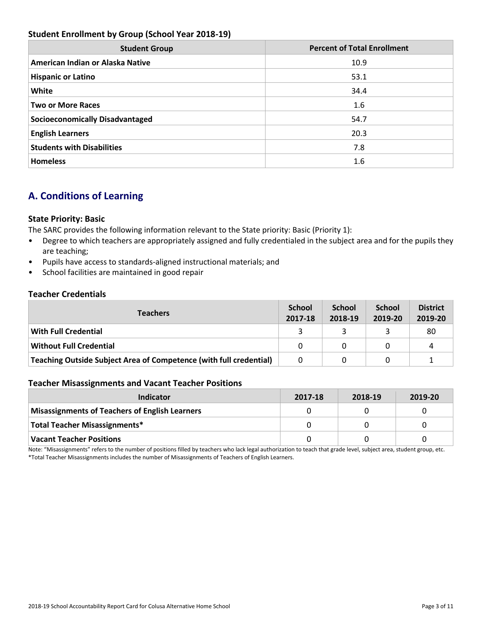### **Student Enrollment by Group (School Year 2018-19)**

| <b>Student Group</b>                   | <b>Percent of Total Enrollment</b> |
|----------------------------------------|------------------------------------|
| American Indian or Alaska Native       | 10.9                               |
| <b>Hispanic or Latino</b>              | 53.1                               |
| White                                  | 34.4                               |
| <b>Two or More Races</b>               | 1.6                                |
| <b>Socioeconomically Disadvantaged</b> | 54.7                               |
| <b>English Learners</b>                | 20.3                               |
| <b>Students with Disabilities</b>      | 7.8                                |
| <b>Homeless</b>                        | 1.6                                |

# **A. Conditions of Learning**

### **State Priority: Basic**

The SARC provides the following information relevant to the State priority: Basic (Priority 1):

- Degree to which teachers are appropriately assigned and fully credentialed in the subject area and for the pupils they are teaching;
- Pupils have access to standards-aligned instructional materials; and
- School facilities are maintained in good repair

### **Teacher Credentials**

| <b>Teachers</b>                                                           |  | <b>School</b><br>2018-19 | <b>School</b><br>2019-20 | <b>District</b><br>2019-20 |
|---------------------------------------------------------------------------|--|--------------------------|--------------------------|----------------------------|
| <b>With Full Credential</b>                                               |  |                          |                          | 80                         |
| <b>Without Full Credential</b>                                            |  | 0                        |                          | 4                          |
| <b>Teaching Outside Subject Area of Competence (with full credential)</b> |  | 0                        |                          |                            |

#### **Teacher Misassignments and Vacant Teacher Positions**

| Indicator                                             | 2017-18 | 2018-19 | 2019-20 |
|-------------------------------------------------------|---------|---------|---------|
| <b>Misassignments of Teachers of English Learners</b> |         |         |         |
| <b>Total Teacher Misassignments*</b>                  |         |         |         |
| <b>Vacant Teacher Positions</b>                       |         |         |         |

Note: "Misassignments" refers to the number of positions filled by teachers who lack legal authorization to teach that grade level, subject area, student group, etc. \*Total Teacher Misassignments includes the number of Misassignments of Teachers of English Learners.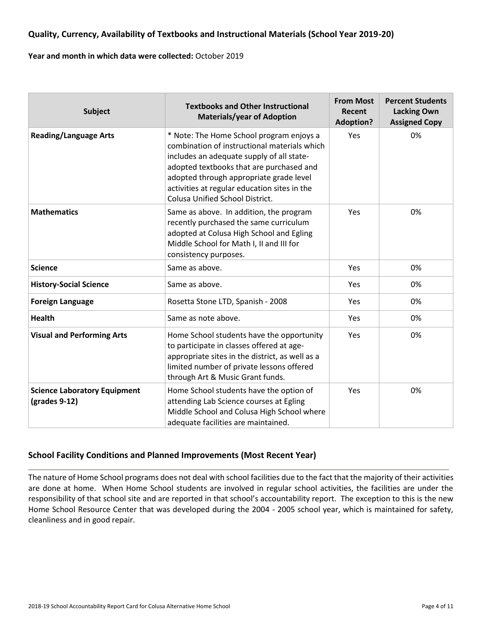### **Quality, Currency, Availability of Textbooks and Instructional Materials (School Year 2019-20)**

#### **Year and month in which data were collected:** October 2019

| <b>Subject</b>                                       | <b>Textbooks and Other Instructional</b><br><b>Materials/year of Adoption</b>                                                                                                                                                                                                                                          | <b>From Most</b><br>Recent<br><b>Adoption?</b> | <b>Percent Students</b><br><b>Lacking Own</b><br><b>Assigned Copy</b> |
|------------------------------------------------------|------------------------------------------------------------------------------------------------------------------------------------------------------------------------------------------------------------------------------------------------------------------------------------------------------------------------|------------------------------------------------|-----------------------------------------------------------------------|
| <b>Reading/Language Arts</b>                         | * Note: The Home School program enjoys a<br>combination of instructional materials which<br>includes an adequate supply of all state-<br>adopted textbooks that are purchased and<br>adopted through appropriate grade level<br>activities at regular education sites in the<br><b>Colusa Unified School District.</b> | <b>Yes</b>                                     | 0%                                                                    |
| <b>Mathematics</b>                                   | Same as above. In addition, the program<br>recently purchased the same curriculum<br>adopted at Colusa High School and Egling<br>Middle School for Math I, II and III for<br>consistency purposes.                                                                                                                     | Yes                                            | 0%                                                                    |
| <b>Science</b>                                       | Same as above.                                                                                                                                                                                                                                                                                                         | <b>Yes</b>                                     | 0%                                                                    |
| <b>History-Social Science</b>                        | Same as above.                                                                                                                                                                                                                                                                                                         | Yes                                            | 0%                                                                    |
| <b>Foreign Language</b>                              | Rosetta Stone LTD, Spanish - 2008                                                                                                                                                                                                                                                                                      | Yes                                            | 0%                                                                    |
| <b>Health</b>                                        | Same as note above.                                                                                                                                                                                                                                                                                                    | Yes                                            | 0%                                                                    |
| <b>Visual and Performing Arts</b>                    | Home School students have the opportunity<br>to participate in classes offered at age-<br>appropriate sites in the district, as well as a<br>limited number of private lessons offered<br>through Art & Music Grant funds.                                                                                             | Yes                                            | 0%                                                                    |
| <b>Science Laboratory Equipment</b><br>(grades 9-12) | Home School students have the option of<br>attending Lab Science courses at Egling<br>Middle School and Colusa High School where<br>adequate facilities are maintained.                                                                                                                                                | Yes                                            | 0%                                                                    |

### **School Facility Conditions and Planned Improvements (Most Recent Year)**

The nature of Home School programs does not deal with school facilities due to the fact that the majority of their activities are done at home. When Home School students are involved in regular school activities, the facilities are under the responsibility of that school site and are reported in that school's accountability report. The exception to this is the new Home School Resource Center that was developed during the 2004 - 2005 school year, which is maintained for safety, cleanliness and in good repair.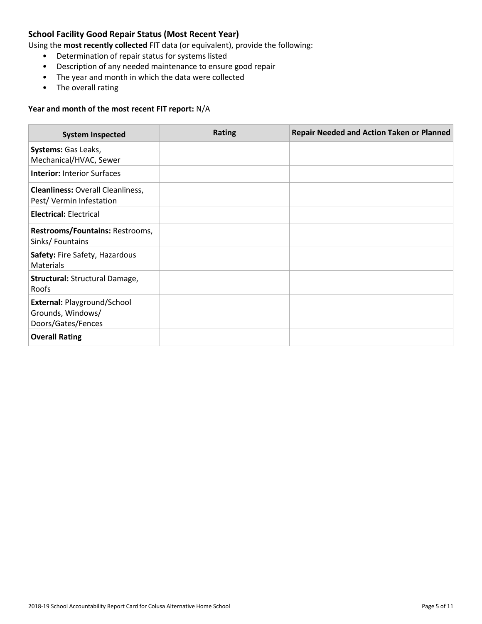### **School Facility Good Repair Status (Most Recent Year)**

Using the **most recently collected** FIT data (or equivalent), provide the following:

- Determination of repair status for systems listed
- Description of any needed maintenance to ensure good repair
- The year and month in which the data were collected
- The overall rating

#### **Year and month of the most recent FIT report:** N/A

| <b>System Inspected</b>                                                | <b>Rating</b> | <b>Repair Needed and Action Taken or Planned</b> |
|------------------------------------------------------------------------|---------------|--------------------------------------------------|
| Systems: Gas Leaks,<br>Mechanical/HVAC, Sewer                          |               |                                                  |
| <b>Interior: Interior Surfaces</b>                                     |               |                                                  |
| <b>Cleanliness: Overall Cleanliness,</b><br>Pest/Vermin Infestation    |               |                                                  |
| <b>Electrical: Electrical</b>                                          |               |                                                  |
| Restrooms/Fountains: Restrooms,<br>Sinks/Fountains                     |               |                                                  |
| Safety: Fire Safety, Hazardous<br><b>Materials</b>                     |               |                                                  |
| Structural: Structural Damage,<br>Roofs                                |               |                                                  |
| External: Playground/School<br>Grounds, Windows/<br>Doors/Gates/Fences |               |                                                  |
| <b>Overall Rating</b>                                                  |               |                                                  |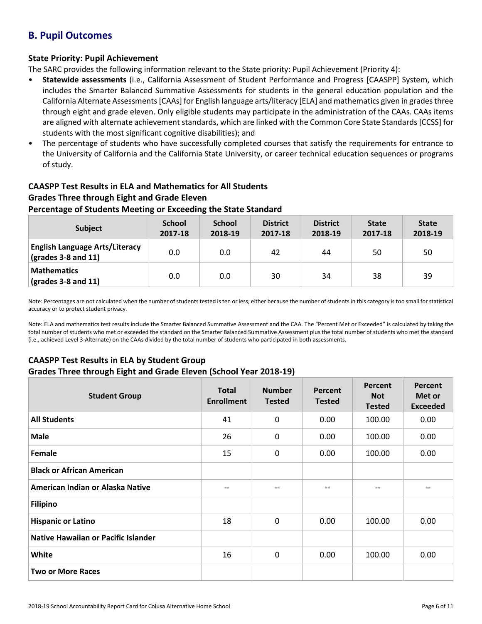# **B. Pupil Outcomes**

### **State Priority: Pupil Achievement**

The SARC provides the following information relevant to the State priority: Pupil Achievement (Priority 4):

- **Statewide assessments** (i.e., California Assessment of Student Performance and Progress [CAASPP] System, which includes the Smarter Balanced Summative Assessments for students in the general education population and the California Alternate Assessments [CAAs] for English language arts/literacy [ELA] and mathematics given in grades three through eight and grade eleven. Only eligible students may participate in the administration of the CAAs. CAAs items are aligned with alternate achievement standards, which are linked with the Common Core State Standards [CCSS] for students with the most significant cognitive disabilities); and
- The percentage of students who have successfully completed courses that satisfy the requirements for entrance to the University of California and the California State University, or career technical education sequences or programs of study.

# **CAASPP Test Results in ELA and Mathematics for All Students Grades Three through Eight and Grade Eleven**

### **Percentage of Students Meeting or Exceeding the State Standard**

| <b>Subject</b>                                                       | <b>School</b><br>2017-18 | <b>School</b><br>2018-19 | <b>District</b><br>2017-18 | <b>District</b><br>2018-19 | <b>State</b><br>2017-18 | <b>State</b><br>2018-19 |
|----------------------------------------------------------------------|--------------------------|--------------------------|----------------------------|----------------------------|-------------------------|-------------------------|
| <b>English Language Arts/Literacy</b><br>$\vert$ (grades 3-8 and 11) | 0.0                      | 0.0                      | 42                         | 44                         | 50                      | 50                      |
| Mathematics<br>$\vert$ (grades 3-8 and 11)                           | 0.0                      | 0.0                      | 30                         | 34                         | 38                      | 39                      |

Note: Percentages are not calculated when the number of students tested is ten or less, either because the number of students in this category is too small for statistical accuracy or to protect student privacy.

Note: ELA and mathematics test results include the Smarter Balanced Summative Assessment and the CAA. The "Percent Met or Exceeded" is calculated by taking the total number of students who met or exceeded the standard on the Smarter Balanced Summative Assessment plus the total number of students who met the standard (i.e., achieved Level 3-Alternate) on the CAAs divided by the total number of students who participated in both assessments.

### **CAASPP Test Results in ELA by Student Group**

#### **Grades Three through Eight and Grade Eleven (School Year 2018-19)**

| <b>Student Group</b>                | <b>Total</b><br><b>Enrollment</b> | <b>Number</b><br><b>Tested</b> | Percent<br><b>Tested</b> | Percent<br><b>Not</b><br><b>Tested</b> | Percent<br>Met or<br><b>Exceeded</b> |
|-------------------------------------|-----------------------------------|--------------------------------|--------------------------|----------------------------------------|--------------------------------------|
| <b>All Students</b>                 | 41                                | $\mathbf{0}$                   | 0.00                     | 100.00                                 | 0.00                                 |
| <b>Male</b>                         | 26                                | $\mathbf 0$                    | 0.00                     | 100.00                                 | 0.00                                 |
| Female                              | 15                                | 0                              | 0.00                     | 100.00                                 | 0.00                                 |
| <b>Black or African American</b>    |                                   |                                |                          |                                        |                                      |
| American Indian or Alaska Native    | --                                | --                             | --                       | --                                     |                                      |
| <b>Filipino</b>                     |                                   |                                |                          |                                        |                                      |
| <b>Hispanic or Latino</b>           | 18                                | $\mathbf 0$                    | 0.00                     | 100.00                                 | 0.00                                 |
| Native Hawaiian or Pacific Islander |                                   |                                |                          |                                        |                                      |
| <b>White</b>                        | 16                                | 0                              | 0.00                     | 100.00                                 | 0.00                                 |
| <b>Two or More Races</b>            |                                   |                                |                          |                                        |                                      |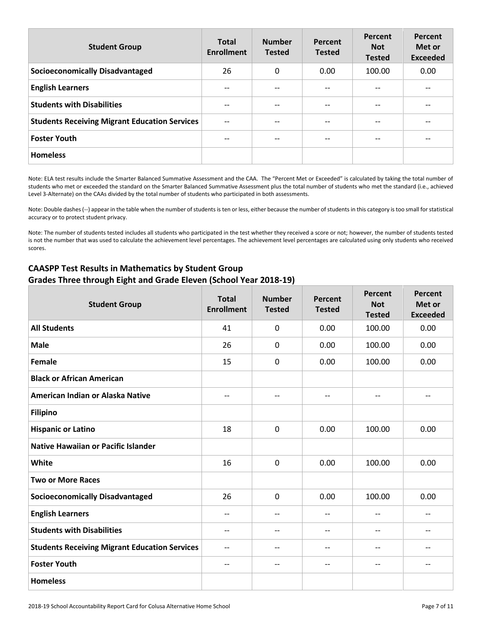| <b>Student Group</b>                                 | <b>Total</b><br><b>Enrollment</b> | <b>Number</b><br><b>Tested</b> | Percent<br><b>Tested</b> | Percent<br><b>Not</b><br><b>Tested</b> | Percent<br>Met or<br><b>Exceeded</b> |
|------------------------------------------------------|-----------------------------------|--------------------------------|--------------------------|----------------------------------------|--------------------------------------|
| <b>Socioeconomically Disadvantaged</b>               | 26                                | 0                              | 0.00                     | 100.00                                 | 0.00                                 |
| <b>English Learners</b>                              |                                   |                                | $- -$                    |                                        |                                      |
| <b>Students with Disabilities</b>                    | --                                | $- -$                          | $\overline{\phantom{m}}$ | --                                     | --                                   |
| <b>Students Receiving Migrant Education Services</b> | $-$                               | $- -$                          | $- -$                    | $-$                                    | $- -$                                |
| <b>Foster Youth</b>                                  | --                                | $- -$                          | $- -$                    | --                                     |                                      |
| <b>Homeless</b>                                      |                                   |                                |                          |                                        |                                      |

Note: ELA test results include the Smarter Balanced Summative Assessment and the CAA. The "Percent Met or Exceeded" is calculated by taking the total number of students who met or exceeded the standard on the Smarter Balanced Summative Assessment plus the total number of students who met the standard (i.e., achieved Level 3-Alternate) on the CAAs divided by the total number of students who participated in both assessments.

Note: Double dashes (--) appear in the table when the number of students is ten or less, either because the number of students in this category is too small for statistical accuracy or to protect student privacy.

Note: The number of students tested includes all students who participated in the test whether they received a score or not; however, the number of students tested is not the number that was used to calculate the achievement level percentages. The achievement level percentages are calculated using only students who received scores.

### **CAASPP Test Results in Mathematics by Student Group Grades Three through Eight and Grade Eleven (School Year 2018-19)**

| <b>Student Group</b>                                 | <b>Total</b><br><b>Enrollment</b> | <b>Number</b><br><b>Tested</b> | Percent<br><b>Tested</b>      | Percent<br><b>Not</b><br><b>Tested</b> | Percent<br>Met or<br><b>Exceeded</b> |
|------------------------------------------------------|-----------------------------------|--------------------------------|-------------------------------|----------------------------------------|--------------------------------------|
| <b>All Students</b>                                  | 41                                | $\mathbf{0}$                   | 0.00                          | 100.00                                 | 0.00                                 |
| <b>Male</b>                                          | 26                                | 0                              | 0.00                          | 100.00                                 | 0.00                                 |
| Female                                               | 15                                | $\mathbf 0$                    | 0.00                          | 100.00                                 | 0.00                                 |
| <b>Black or African American</b>                     |                                   |                                |                               |                                        |                                      |
| American Indian or Alaska Native                     | $-$                               | $\overline{\phantom{a}}$       | $\overline{\phantom{m}}$      | $- -$                                  | --                                   |
| <b>Filipino</b>                                      |                                   |                                |                               |                                        |                                      |
| <b>Hispanic or Latino</b>                            | 18                                | 0                              | 0.00                          | 100.00                                 | 0.00                                 |
| <b>Native Hawaiian or Pacific Islander</b>           |                                   |                                |                               |                                        |                                      |
| White                                                | 16                                | 0                              | 0.00                          | 100.00                                 | 0.00                                 |
| <b>Two or More Races</b>                             |                                   |                                |                               |                                        |                                      |
| <b>Socioeconomically Disadvantaged</b>               | 26                                | $\mathbf 0$                    | 0.00                          | 100.00                                 | 0.00                                 |
| <b>English Learners</b>                              | --                                | $-$                            | $\hspace{0.05cm} \textbf{--}$ | --                                     | --                                   |
| <b>Students with Disabilities</b>                    | --                                | $-$                            | $\overline{\phantom{m}}$      | $- -$                                  | $\hspace{0.05cm}$ $\hspace{0.05cm}$  |
| <b>Students Receiving Migrant Education Services</b> | $-$                               | $-$                            | $- -$                         | $- -$                                  | $-$                                  |
| <b>Foster Youth</b>                                  | --                                | $\overline{\phantom{a}}$       | $\qquad \qquad -$             | --                                     | --                                   |
| <b>Homeless</b>                                      |                                   |                                |                               |                                        |                                      |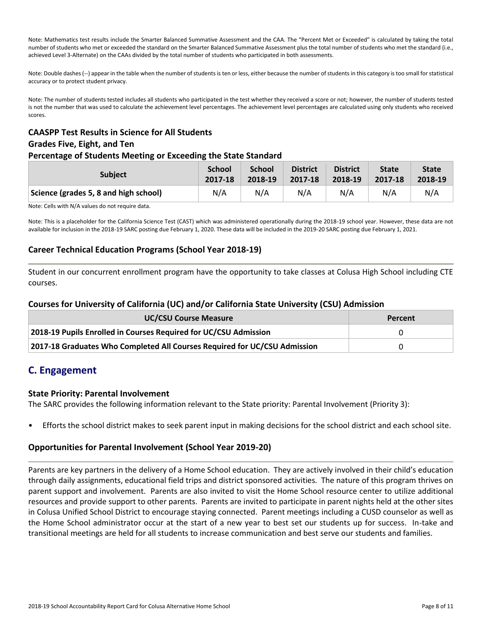Note: Mathematics test results include the Smarter Balanced Summative Assessment and the CAA. The "Percent Met or Exceeded" is calculated by taking the total number of students who met or exceeded the standard on the Smarter Balanced Summative Assessment plus the total number of students who met the standard (i.e., achieved Level 3-Alternate) on the CAAs divided by the total number of students who participated in both assessments.

Note: Double dashes (--) appear in the table when the number of students is ten or less, either because the number of students in this category is too small for statistical accuracy or to protect student privacy.

Note: The number of students tested includes all students who participated in the test whether they received a score or not; however, the number of students tested is not the number that was used to calculate the achievement level percentages. The achievement level percentages are calculated using only students who received scores.

# **CAASPP Test Results in Science for All Students Grades Five, Eight, and Ten**

### **Percentage of Students Meeting or Exceeding the State Standard**

| <b>Subject</b>                        | <b>School</b> | <b>School</b> | <b>District</b> | <b>District</b> | <b>State</b> | <b>State</b> |
|---------------------------------------|---------------|---------------|-----------------|-----------------|--------------|--------------|
|                                       | 2017-18       | 2018-19       | 2017-18         | 2018-19         | 2017-18      | 2018-19      |
| Science (grades 5, 8 and high school) | N/A           | N/A           | N/A             | N/A             | N/A          | N/A          |

Note: Cells with N/A values do not require data.

Note: This is a placeholder for the California Science Test (CAST) which was administered operationally during the 2018-19 school year. However, these data are not available for inclusion in the 2018-19 SARC posting due February 1, 2020. These data will be included in the 2019-20 SARC posting due February 1, 2021.

### **Career Technical Education Programs (School Year 2018-19)**

Student in our concurrent enrollment program have the opportunity to take classes at Colusa High School including CTE courses.

### **Courses for University of California (UC) and/or California State University (CSU) Admission**

| <b>UC/CSU Course Measure</b>                                              | Percent |
|---------------------------------------------------------------------------|---------|
| 2018-19 Pupils Enrolled in Courses Required for UC/CSU Admission          |         |
| 2017-18 Graduates Who Completed All Courses Required for UC/CSU Admission | 0       |

# **C. Engagement**

#### **State Priority: Parental Involvement**

The SARC provides the following information relevant to the State priority: Parental Involvement (Priority 3):

• Efforts the school district makes to seek parent input in making decisions for the school district and each school site.

### **Opportunities for Parental Involvement (School Year 2019-20)**

Parents are key partners in the delivery of a Home School education. They are actively involved in their child's education through daily assignments, educational field trips and district sponsored activities. The nature of this program thrives on parent support and involvement. Parents are also invited to visit the Home School resource center to utilize additional resources and provide support to other parents. Parents are invited to participate in parent nights held at the other sites in Colusa Unified School District to encourage staying connected. Parent meetings including a CUSD counselor as well as the Home School administrator occur at the start of a new year to best set our students up for success. In-take and transitional meetings are held for all students to increase communication and best serve our students and families.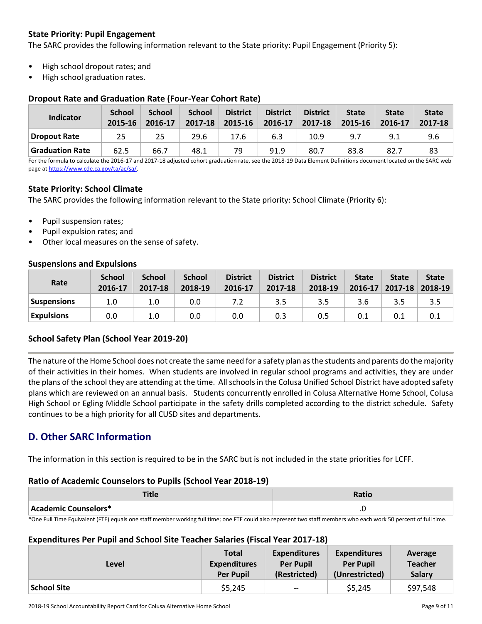### **State Priority: Pupil Engagement**

The SARC provides the following information relevant to the State priority: Pupil Engagement (Priority 5):

- High school dropout rates; and
- High school graduation rates.

### **Dropout Rate and Graduation Rate (Four-Year Cohort Rate)**

| <b>Indicator</b> | <b>School</b><br>2015-16 | <b>School</b><br>2016-17 | <b>School</b><br>2017-18 | <b>District</b><br>2015-16 | <b>District</b><br>2016-17 | <b>District</b><br>2017-18 | <b>State</b><br>2015-16 | <b>State</b><br>2016-17 | <b>State</b><br>2017-18 |
|------------------|--------------------------|--------------------------|--------------------------|----------------------------|----------------------------|----------------------------|-------------------------|-------------------------|-------------------------|
| Dropout Rate     | 25                       | 25                       | 29.6                     | 17.6                       | 6.3                        | 10.9                       | 9.7                     | 9.1                     | 9.6                     |
| Graduation Rate  | 62.5                     | 66.7                     | 48.1                     | 79                         | 91.9                       | 80.7                       | 83.8                    | 82.7                    | 83                      |

For the formula to calculate the 2016-17 and 2017-18 adjusted cohort graduation rate, see the 2018-19 Data Element Definitions document located on the SARC web page a[t https://www.cde.ca.gov/ta/ac/sa/.](https://www.cde.ca.gov/ta/ac/sa/)

### **State Priority: School Climate**

The SARC provides the following information relevant to the State priority: School Climate (Priority 6):

- Pupil suspension rates;
- Pupil expulsion rates; and
- Other local measures on the sense of safety.

### **Suspensions and Expulsions**

| Rate               | <b>School</b><br>2016-17 | <b>School</b><br>2017-18 | <b>School</b><br>2018-19 | <b>District</b><br>2016-17 | <b>District</b><br>2017-18 | <b>District</b><br>2018-19 | <b>State</b><br>$2016 - 17$ | <b>State</b> | <b>State</b><br>$2017 - 18$ 2018-19 |
|--------------------|--------------------------|--------------------------|--------------------------|----------------------------|----------------------------|----------------------------|-----------------------------|--------------|-------------------------------------|
| <b>Suspensions</b> | 1.0                      | 1.0                      | 0.0                      |                            | 3.5                        | 3.5                        | 3.6                         | 3.5          |                                     |
| <b>Expulsions</b>  | 0.0                      | 1.0                      | 0.0                      | 0.0                        | 0.3                        | 0.5                        | 0.1                         | 0.1          | 0.1                                 |

### **School Safety Plan (School Year 2019-20)**

The nature of the Home School does not create the same need for a safety plan as the students and parents do the majority of their activities in their homes. When students are involved in regular school programs and activities, they are under the plans of the school they are attending at the time. All schools in the Colusa Unified School District have adopted safety plans which are reviewed on an annual basis. Students concurrently enrolled in Colusa Alternative Home School, Colusa High School or Egling Middle School participate in the safety drills completed according to the district schedule. Safety continues to be a high priority for all CUSD sites and departments.

## **D. Other SARC Information**

The information in this section is required to be in the SARC but is not included in the state priorities for LCFF.

#### **Ratio of Academic Counselors to Pupils (School Year 2018-19)**

|                                                                                                                                                                 | Ratio |  |  |  |  |
|-----------------------------------------------------------------------------------------------------------------------------------------------------------------|-------|--|--|--|--|
| Academic Counselors*                                                                                                                                            |       |  |  |  |  |
| *One Full Time Equivalent (ETE) equals and staff member werking full time; and ETE could also represent two staff members who eash werk 50 persent of full time |       |  |  |  |  |

ull Time Equivalent (FTE) equals one staff member working full time; one FTE could also represent two staff members who each work 50 percent of full time.

#### **Expenditures Per Pupil and School Site Teacher Salaries (Fiscal Year 2017-18)**

| Level              | <b>Total</b>        | <b>Expenditures</b> | <b>Expenditures</b> | Average        |
|--------------------|---------------------|---------------------|---------------------|----------------|
|                    | <b>Expenditures</b> | <b>Per Pupil</b>    | <b>Per Pupil</b>    | <b>Teacher</b> |
|                    | <b>Per Pupil</b>    | (Restricted)        | (Unrestricted)      | <b>Salary</b>  |
| <b>School Site</b> | \$5,245             | $-$                 | \$5,245             | \$97,548       |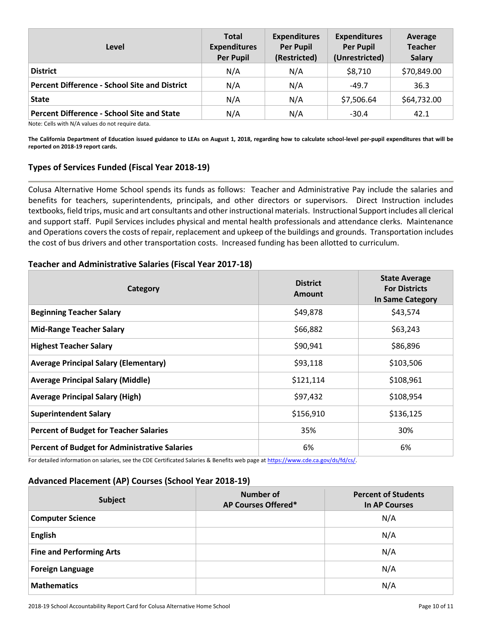| Level                                         | <b>Total</b><br><b>Expenditures</b><br><b>Per Pupil</b> | <b>Expenditures</b><br><b>Per Pupil</b><br>(Restricted) | <b>Expenditures</b><br><b>Per Pupil</b><br>(Unrestricted) | Average<br><b>Teacher</b><br><b>Salary</b> |
|-----------------------------------------------|---------------------------------------------------------|---------------------------------------------------------|-----------------------------------------------------------|--------------------------------------------|
| <b>District</b>                               | N/A                                                     | N/A                                                     | \$8,710                                                   | \$70,849.00                                |
| Percent Difference - School Site and District | N/A                                                     | N/A                                                     | $-49.7$                                                   | 36.3                                       |
| State                                         | N/A                                                     | N/A                                                     | \$7,506.64                                                | \$64,732.00                                |
| Percent Difference - School Site and State    | N/A                                                     | N/A                                                     | $-30.4$                                                   | 42.1                                       |

Note: Cells with N/A values do not require data.

**The California Department of Education issued guidance to LEAs on August 1, 2018, regarding how to calculate school-level per-pupil expenditures that will be reported on 2018-19 report cards.**

#### **Types of Services Funded (Fiscal Year 2018-19)**

Colusa Alternative Home School spends its funds as follows: Teacher and Administrative Pay include the salaries and benefits for teachers, superintendents, principals, and other directors or supervisors. Direct Instruction includes textbooks, field trips, music and art consultants and other instructional materials. Instructional Support includes all clerical and support staff. Pupil Services includes physical and mental health professionals and attendance clerks. Maintenance and Operations covers the costs of repair, replacement and upkeep of the buildings and grounds. Transportation includes the cost of bus drivers and other transportation costs. Increased funding has been allotted to curriculum.

#### **Teacher and Administrative Salaries (Fiscal Year 2017-18)**

| Category                                             | <b>District</b><br><b>Amount</b> | <b>State Average</b><br><b>For Districts</b><br>In Same Category |
|------------------------------------------------------|----------------------------------|------------------------------------------------------------------|
| <b>Beginning Teacher Salary</b>                      | \$49,878                         | \$43,574                                                         |
| <b>Mid-Range Teacher Salary</b>                      | \$66,882                         | \$63,243                                                         |
| <b>Highest Teacher Salary</b>                        | \$90,941                         | \$86,896                                                         |
| <b>Average Principal Salary (Elementary)</b>         | \$93,118                         | \$103,506                                                        |
| <b>Average Principal Salary (Middle)</b>             | \$121,114                        | \$108,961                                                        |
| <b>Average Principal Salary (High)</b>               | \$97,432                         | \$108,954                                                        |
| <b>Superintendent Salary</b>                         | \$156,910                        | \$136,125                                                        |
| <b>Percent of Budget for Teacher Salaries</b>        | 35%                              | 30%                                                              |
| <b>Percent of Budget for Administrative Salaries</b> | 6%                               | 6%                                                               |

For detailed information on salaries, see the CDE Certificated Salaries & Benefits web page at [https://www.cde.ca.gov/ds/fd/cs/.](http://www.cde.ca.gov/ds/fd/cs/) 

### **Advanced Placement (AP) Courses (School Year 2018-19)**

| Subject                         | Number of<br>AP Courses Offered* | <b>Percent of Students</b><br><b>In AP Courses</b> |
|---------------------------------|----------------------------------|----------------------------------------------------|
| <b>Computer Science</b>         |                                  | N/A                                                |
| <b>English</b>                  |                                  | N/A                                                |
| <b>Fine and Performing Arts</b> |                                  | N/A                                                |
| <b>Foreign Language</b>         |                                  | N/A                                                |
| <b>Mathematics</b>              |                                  | N/A                                                |